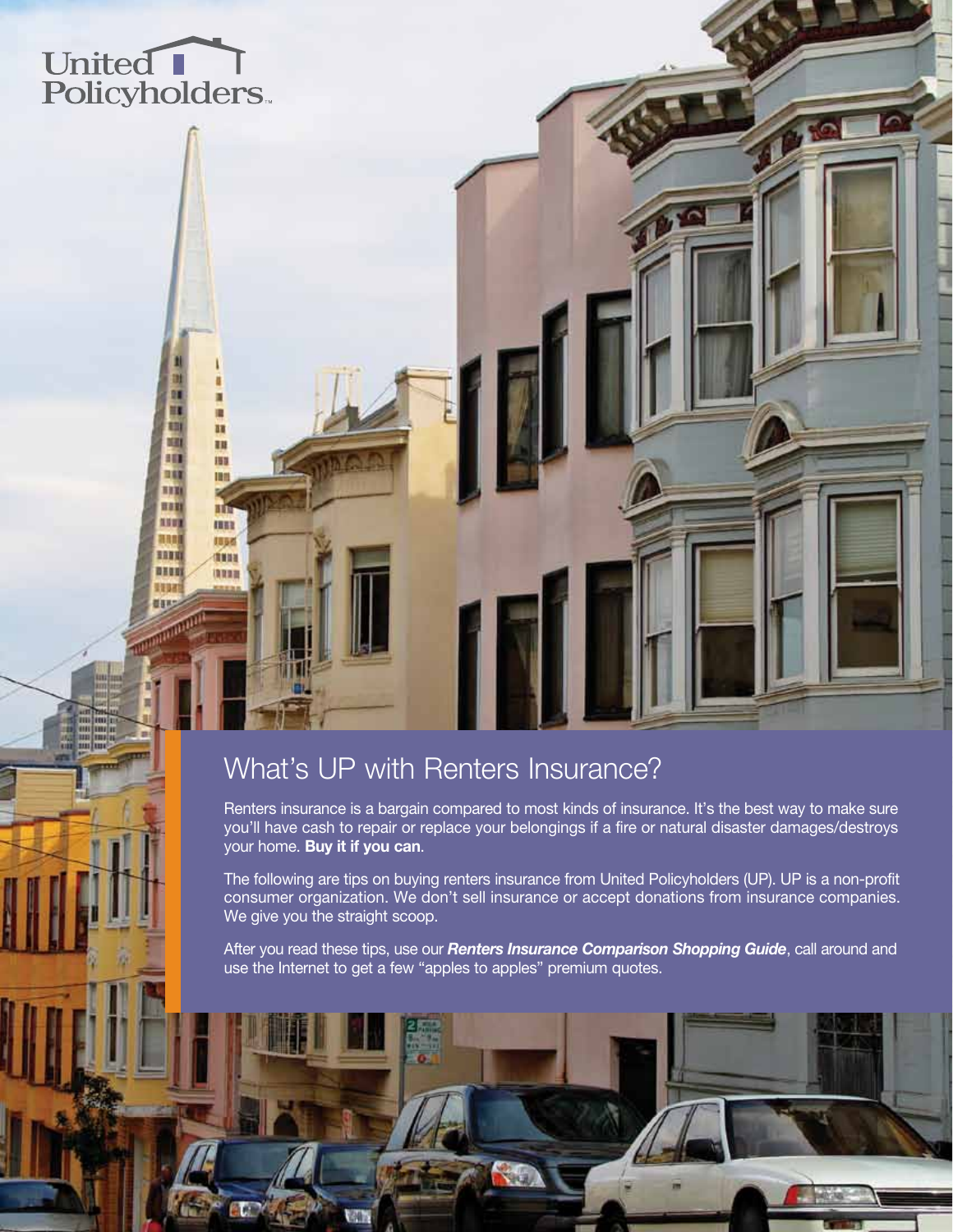# United<br>Policyholders

圃 m

m

153

m

Ш

**IBBB** 

相互感

**OHH** 

13333

咀

町

38

111 **HOM** 

**AST** 

期間

HHU

8100

联邦 전용

# What's UP with Renters Insurance?

Renters insurance is a bargain compared to most kinds of insurance. It's the best way to make sure you'll have cash to repair or replace your belongings if a fire or natural disaster damages/destroys your home. Buy it if you can.

The following are tips on buying renters insurance from United Policyholders (UP). UP is a non-profit consumer organization. We don't sell insurance or accept donations from insurance companies. We give you the straight scoop.

After you read these tips, use our *Renters Insurance Comparison Shopping Guide*, call around and use the Internet to get a few "apples to apples" premium quotes.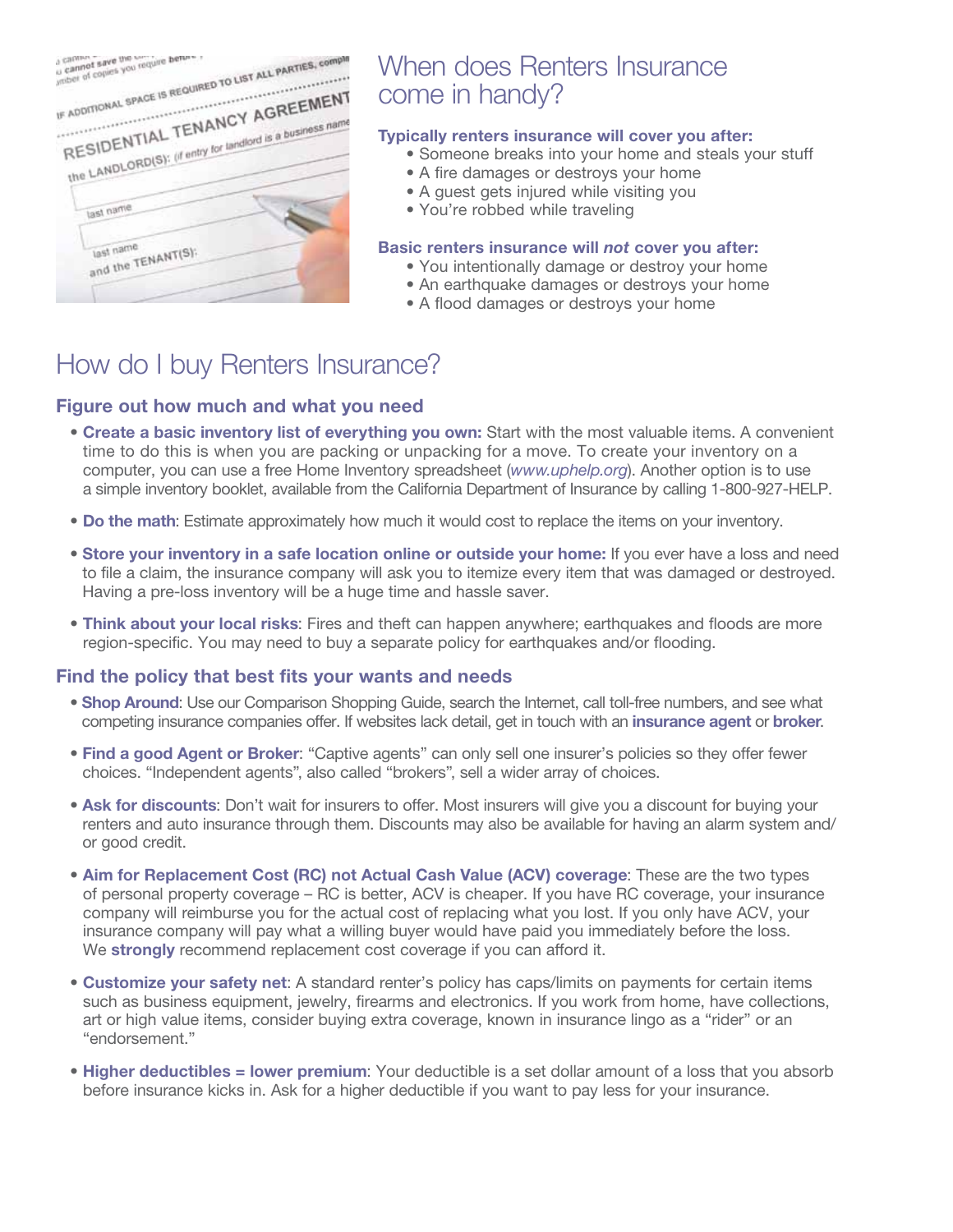| IF ADDITIONAL SPACE IS REQUIRED TO LIST ALL PARTIES, COMPIN                                 |  |
|---------------------------------------------------------------------------------------------|--|
| RESIDENTIAL TENANCY AGREEMENT<br>the LANDLORD(S): (if entry for landlord is a business name |  |
| last name                                                                                   |  |
| last name<br>and the TENANT(S);                                                             |  |

# When does Renters Insurance come in handy?

## Typically renters insurance will cover you after:

- Someone breaks into your home and steals your stuff
- A fire damages or destroys your home
- A guest gets injured while visiting you
- You're robbed while traveling

## Basic renters insurance will *not* cover you after:

- You intentionally damage or destroy your home
- An earthquake damages or destroys your home
- A flood damages or destroys your home

# How do I buy Renters Insurance?

## Figure out how much and what you need

- Create a basic inventory list of everything you own: Start with the most valuable items. A convenient time to do this is when you are packing or unpacking for a move. To create your inventory on a computer, you can use a free Home Inventory spreadsheet (*www.uphelp.org*). Another option is to use a simple inventory booklet, available from the California Department of Insurance by calling 1-800-927-HELP.
- Do the math: Estimate approximately how much it would cost to replace the items on your inventory.
- Store your inventory in a safe location online or outside your home: If you ever have a loss and need to file a claim, the insurance company will ask you to itemize every item that was damaged or destroyed. Having a pre-loss inventory will be a huge time and hassle saver.
- Think about your local risks: Fires and theft can happen anywhere; earthquakes and floods are more region-specific. You may need to buy a separate policy for earthquakes and/or flooding.

## Find the policy that best fits your wants and needs

- Shop Around: Use our Comparison Shopping Guide, search the Internet, call toll-free numbers, and see what competing insurance companies offer. If websites lack detail, get in touch with an insurance agent or broker.
- Find a good Agent or Broker: "Captive agents" can only sell one insurer's policies so they offer fewer choices. "Independent agents", also called "brokers", sell a wider array of choices.
- Ask for discounts: Don't wait for insurers to offer. Most insurers will give you a discount for buying your renters and auto insurance through them. Discounts may also be available for having an alarm system and/ or good credit.
- Aim for Replacement Cost (RC) not Actual Cash Value (ACV) coverage: These are the two types of personal property coverage – RC is better, ACV is cheaper. If you have RC coverage, your insurance company will reimburse you for the actual cost of replacing what you lost. If you only have ACV, your insurance company will pay what a willing buyer would have paid you immediately before the loss. We strongly recommend replacement cost coverage if you can afford it.
- Customize your safety net: A standard renter's policy has caps/limits on payments for certain items such as business equipment, jewelry, firearms and electronics. If you work from home, have collections, art or high value items, consider buying extra coverage, known in insurance lingo as a "rider" or an "endorsement."
- Higher deductibles = lower premium: Your deductible is a set dollar amount of a loss that you absorb before insurance kicks in. Ask for a higher deductible if you want to pay less for your insurance.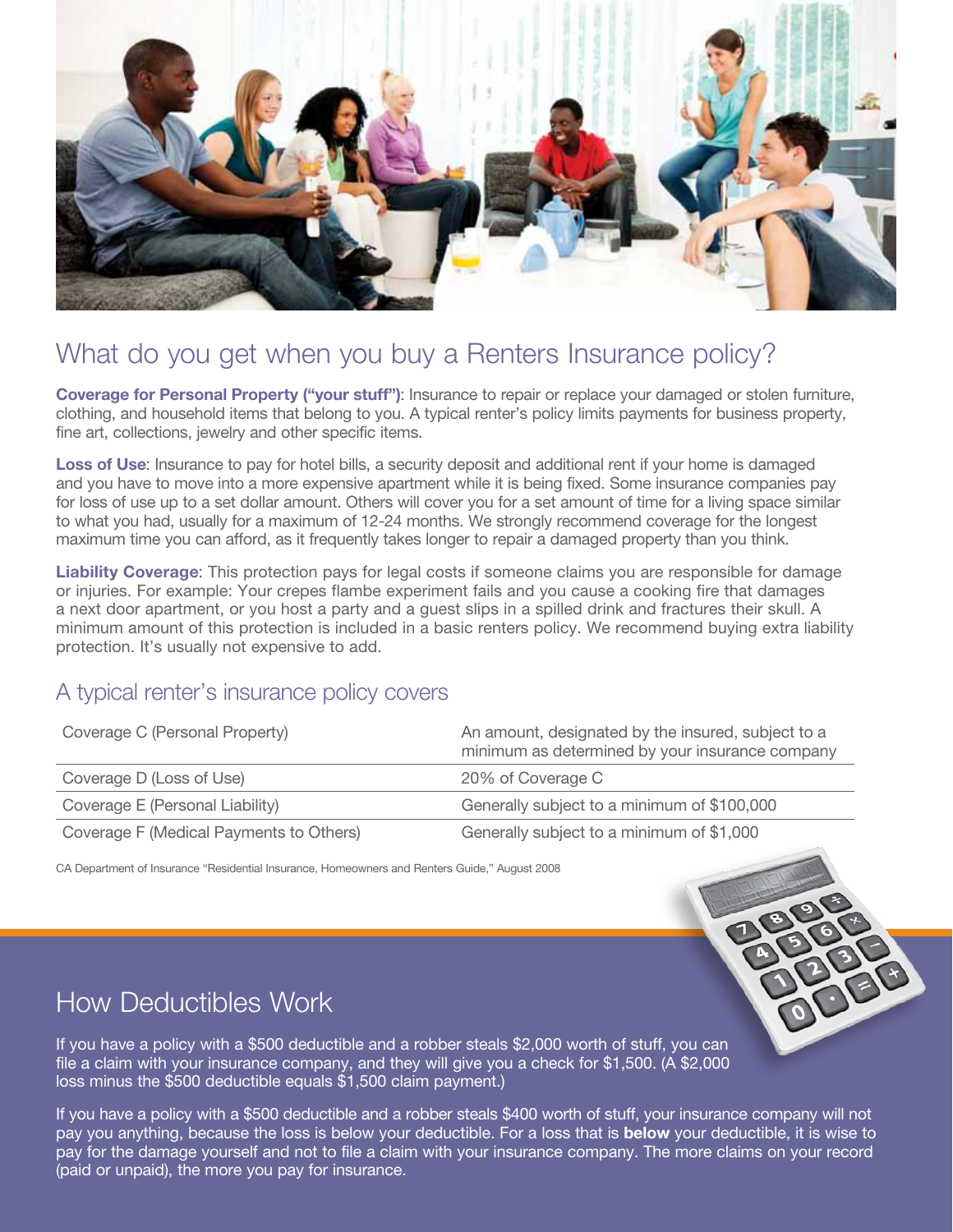

# What do you get when you buy a Renters Insurance policy?

Coverage for Personal Property ("your stuff"): Insurance to repair or replace your damaged or stolen furniture, clothing, and household items that belong to you. A typical renter's policy limits payments for business property, fine art, collections, jewelry and other specific items.

Loss of Use: Insurance to pay for hotel bills, a security deposit and additional rent if your home is damaged and you have to move into a more expensive apartment while it is being fixed. Some insurance companies pay for loss of use up to a set dollar amount. Others will cover you for a set amount of time for a living space similar to what you had, usually for a maximum of 12-24 months. We strongly recommend coverage for the longest maximum time you can afford, as it frequently takes longer to repair a damaged property than you think.

Liability Coverage: This protection pays for legal costs if someone claims you are responsible for damage or injuries. For example: Your crepes flambe experiment fails and you cause a cooking fire that damages a next door apartment, or you host a party and a guest slips in a spilled drink and fractures their skull. A minimum amount of this protection is included in a basic renters policy. We recommend buying extra liability protection. It's usually not expensive to add.

## A typical renter's insurance policy covers

| Coverage C (Personal Property)          | An amount, designated by the insured, subject to a<br>minimum as determined by your insurance company |
|-----------------------------------------|-------------------------------------------------------------------------------------------------------|
| Coverage D (Loss of Use)                | 20% of Coverage C                                                                                     |
| Coverage E (Personal Liability)         | Generally subject to a minimum of \$100,000                                                           |
| Coverage F (Medical Payments to Others) | Generally subject to a minimum of \$1,000                                                             |

CA Department of Insurance "Residential Insurance, Homeowners and Renters Guide," August 2008

# How Deductibles Work

If you have a policy with a \$500 deductible and a robber steals \$2,000 worth of stuff, you can file a claim with your insurance company, and they will give you a check for \$1,500. (A \$2,000 loss minus the \$500 deductible equals \$1,500 claim payment.)

If you have a policy with a \$500 deductible and a robber steals \$400 worth of stuff, your insurance company will not pay you anything, because the loss is below your deductible. For a loss that is **below** your deductible, it is wise to pay for the damage yourself and not to file a claim with your insurance company. The more claims on your record (paid or unpaid), the more you pay for insurance.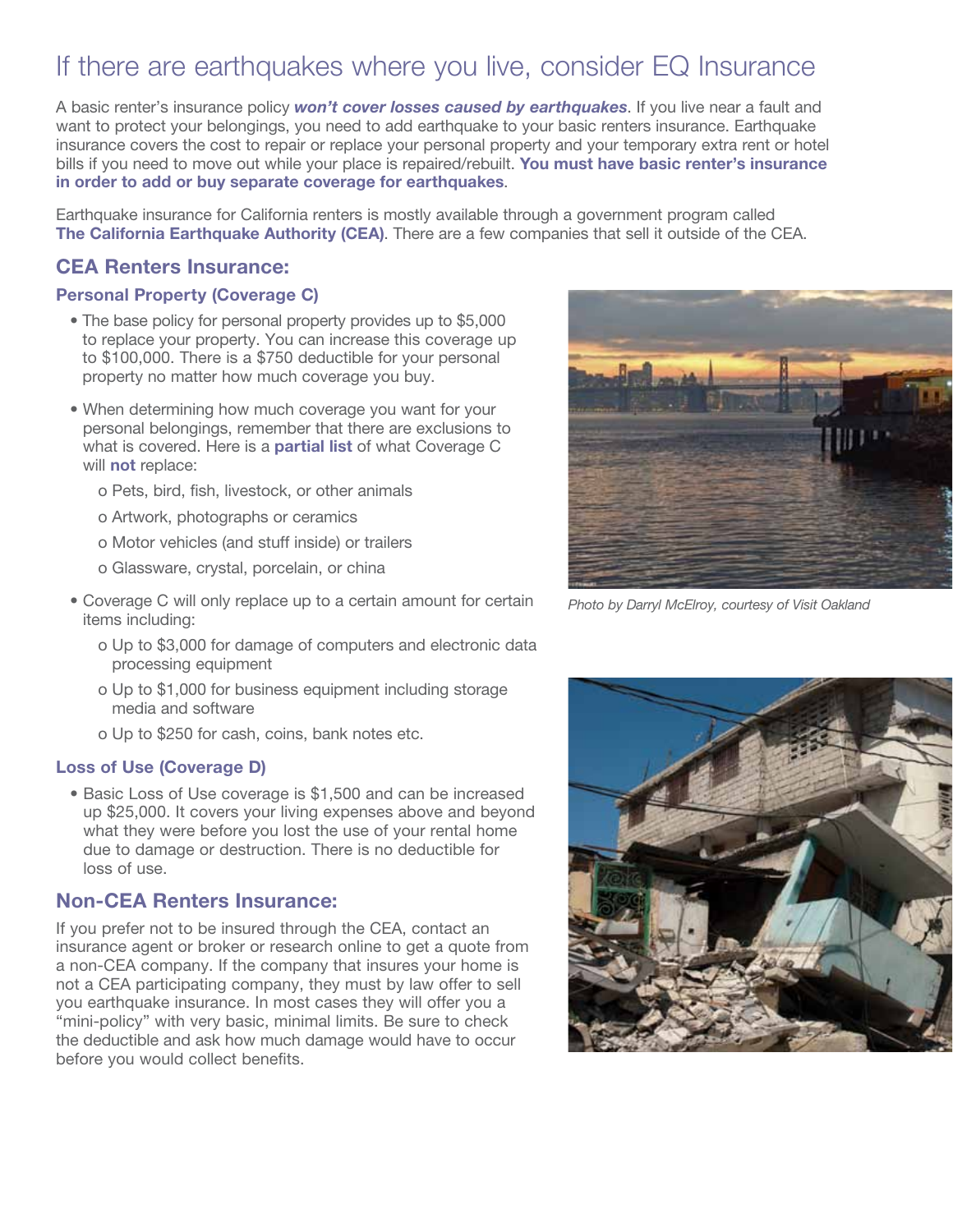# If there are earthquakes where you live, consider EQ Insurance

A basic renter's insurance policy *won't cover losses caused by earthquakes*. If you live near a fault and want to protect your belongings, you need to add earthquake to your basic renters insurance. Earthquake insurance covers the cost to repair or replace your personal property and your temporary extra rent or hotel bills if you need to move out while your place is repaired/rebuilt. You must have basic renter's insurance in order to add or buy separate coverage for earthquakes.

Earthquake insurance for California renters is mostly available through a government program called The California Earthquake Authority (CEA). There are a few companies that sell it outside of the CEA.

## CEA Renters Insurance:

### Personal Property (Coverage C)

- The base policy for personal property provides up to \$5,000 to replace your property. You can increase this coverage up to \$100,000. There is a \$750 deductible for your personal property no matter how much coverage you buy.
- When determining how much coverage you want for your personal belongings, remember that there are exclusions to what is covered. Here is a **partial list** of what Coverage C will **not** replace:
	- o Pets, bird, fish, livestock, or other animals
	- o Artwork, photographs or ceramics
	- o Motor vehicles (and stuff inside) or trailers
	- o Glassware, crystal, porcelain, or china
- Coverage C will only replace up to a certain amount for certain items including:
	- o Up to \$3,000 for damage of computers and electronic data processing equipment
	- o Up to \$1,000 for business equipment including storage media and software
	- o Up to \$250 for cash, coins, bank notes etc.

#### Loss of Use (Coverage D)

• Basic Loss of Use coverage is \$1,500 and can be increased up \$25,000. It covers your living expenses above and beyond what they were before you lost the use of your rental home due to damage or destruction. There is no deductible for loss of use.

## Non-CEA Renters Insurance:

If you prefer not to be insured through the CEA, contact an insurance agent or broker or research online to get a quote from a non-CEA company. If the company that insures your home is not a CEA participating company, they must by law offer to sell you earthquake insurance. In most cases they will offer you a "mini-policy" with very basic, minimal limits. Be sure to check the deductible and ask how much damage would have to occur before you would collect benefits.



*Photo by Darryl McElroy, courtesy of Visit Oakland*

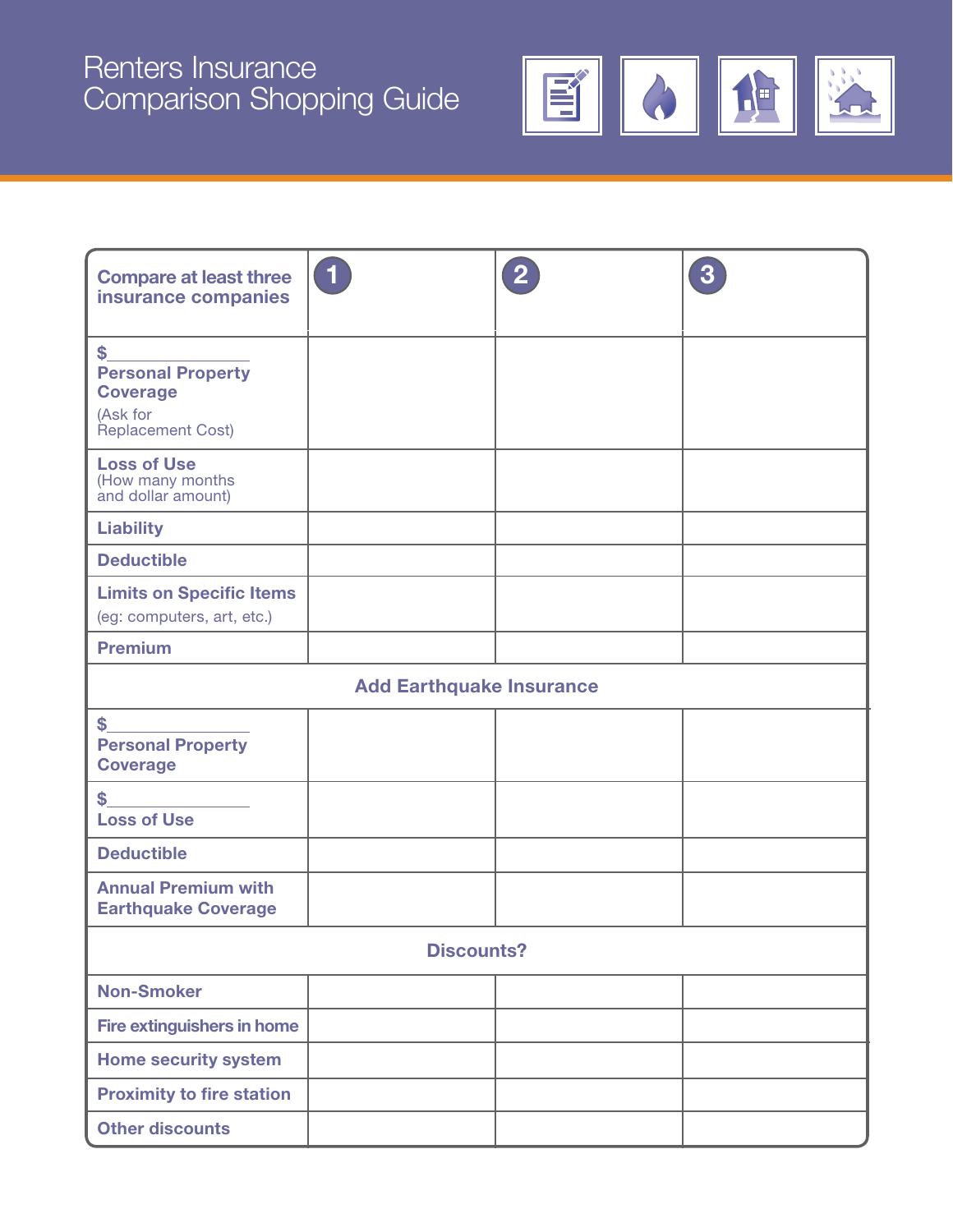# Renters Insurance Comparison Shopping Guide



| <b>Compare at least three</b><br>insurance companies                               | $\left( 1\right)$ | $\overline{2}$ | 3 |  |
|------------------------------------------------------------------------------------|-------------------|----------------|---|--|
| \$<br><b>Personal Property</b><br><b>Coverage</b><br>(Ask for<br>Replacement Cost) |                   |                |   |  |
| <b>Loss of Use</b><br>(How many months<br>and dollar amount)                       |                   |                |   |  |
| <b>Liability</b>                                                                   |                   |                |   |  |
| <b>Deductible</b>                                                                  |                   |                |   |  |
| <b>Limits on Specific Items</b><br>(eg: computers, art, etc.)                      |                   |                |   |  |
| <b>Premium</b>                                                                     |                   |                |   |  |
| <b>Add Earthquake Insurance</b>                                                    |                   |                |   |  |
| \$<br><b>Personal Property</b><br><b>Coverage</b>                                  |                   |                |   |  |
| \$<br><b>Loss of Use</b>                                                           |                   |                |   |  |
| <b>Deductible</b>                                                                  |                   |                |   |  |
| <b>Annual Premium with</b><br><b>Earthquake Coverage</b>                           |                   |                |   |  |
| <b>Discounts?</b>                                                                  |                   |                |   |  |
| <b>Non-Smoker</b>                                                                  |                   |                |   |  |
| Fire extinguishers in home                                                         |                   |                |   |  |
| <b>Home security system</b>                                                        |                   |                |   |  |
| <b>Proximity to fire station</b>                                                   |                   |                |   |  |
| <b>Other discounts</b>                                                             |                   |                |   |  |